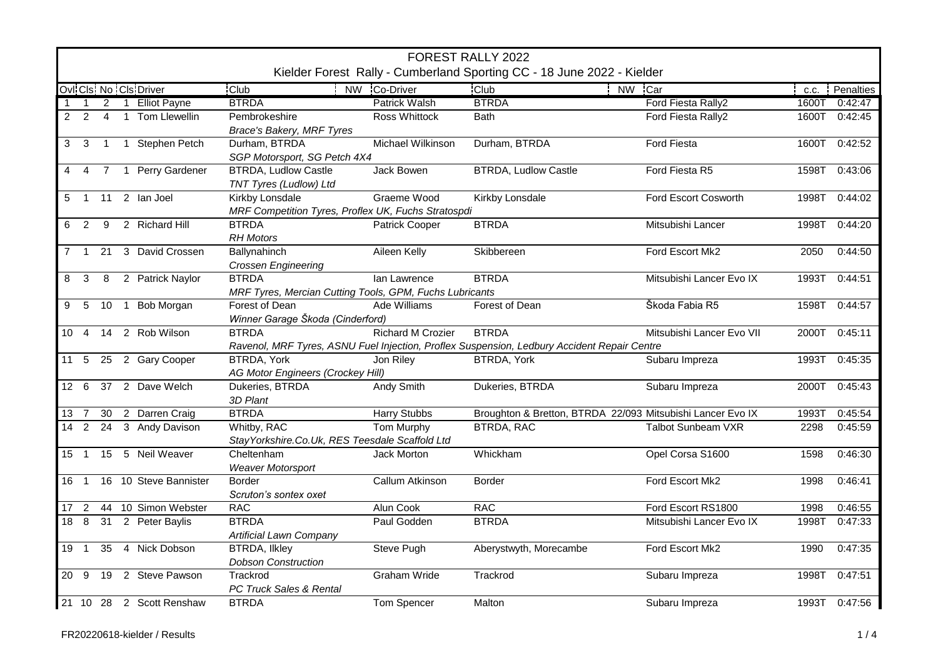|                | FOREST RALLY 2022<br>Kielder Forest Rally - Cumberland Sporting CC - 18 June 2022 - Kielder |                |  |                            |                                                                         |                       |                                                                                                             |                           |       |                |
|----------------|---------------------------------------------------------------------------------------------|----------------|--|----------------------------|-------------------------------------------------------------------------|-----------------------|-------------------------------------------------------------------------------------------------------------|---------------------------|-------|----------------|
|                |                                                                                             |                |  | Ovi Cls. No Cls. Driver    | <b>Club</b>                                                             | NW Co-Driver          | <b>Club</b>                                                                                                 | NW Car                    |       | c.c. Penalties |
|                | $\mathbf{1}$                                                                                |                |  | 2 1 Elliot Payne           | <b>BTRDA</b>                                                            | <b>Patrick Walsh</b>  | <b>BTRDA</b>                                                                                                | Ford Fiesta Rally2        | 1600T | 0:42:47        |
| $\overline{2}$ | 2                                                                                           | $\overline{4}$ |  | 1 Tom Llewellin            | Pembrokeshire<br><b>Brace's Bakery, MRF Tyres</b>                       | <b>Ross Whittock</b>  | <b>Bath</b>                                                                                                 | Ford Fiesta Rally2        | 1600T | 0:42:45        |
| 3              | $\mathbf{3}$                                                                                | $\overline{1}$ |  | 1 Stephen Petch            | Durham, BTRDA<br>SGP Motorsport, SG Petch 4X4                           | Michael Wilkinson     | Durham, BTRDA                                                                                               | Ford Fiesta               | 1600T | 0:42:52        |
| 4              | $\overline{4}$                                                                              |                |  | 7 1 Perry Gardener         | <b>BTRDA, Ludlow Castle</b><br>TNT Tyres (Ludlow) Ltd                   | <b>Jack Bowen</b>     | <b>BTRDA, Ludlow Castle</b>                                                                                 | Ford Fiesta R5            | 1598T | 0:43:06        |
| 5              |                                                                                             |                |  | 1 11 2 Ian Joel            | Kirkby Lonsdale<br>MRF Competition Tyres, Proflex UK, Fuchs Stratospdi  | Graeme Wood           | Kirkby Lonsdale                                                                                             | Ford Escort Cosworth      | 1998T | 0:44:02        |
| 6              | 2                                                                                           | -9             |  | 2 Richard Hill             | <b>BTRDA</b><br><b>RH Motors</b>                                        | <b>Patrick Cooper</b> | <b>BTRDA</b>                                                                                                | Mitsubishi Lancer         | 1998T | 0:44:20        |
| $\overline{7}$ |                                                                                             |                |  | 1 21 3 David Crossen       | Ballynahinch<br>Crossen Engineering                                     | Aileen Kelly          | Skibbereen                                                                                                  | Ford Escort Mk2           | 2050  | 0:44:50        |
| 8              | 3                                                                                           | 8              |  | 2 Patrick Naylor           | <b>BTRDA</b><br>MRF Tyres, Mercian Cutting Tools, GPM, Fuchs Lubricants | Ian Lawrence          | <b>BTRDA</b>                                                                                                | Mitsubishi Lancer Evo IX  | 1993T | 0:44:51        |
|                |                                                                                             |                |  | 9 5 10 1 Bob Morgan        | Forest of Dean<br>Winner Garage Škoda (Cinderford)                      | Ade Williams          | Forest of Dean                                                                                              | Škoda Fabia R5            | 1598T | 0:44:57        |
|                | $10 \quad 4$                                                                                |                |  | 14 2 Rob Wilson            | <b>BTRDA</b>                                                            | Richard M Crozier     | <b>BTRDA</b><br>Ravenol, MRF Tyres, ASNU Fuel Injection, Proflex Suspension, Ledbury Accident Repair Centre | Mitsubishi Lancer Evo VII | 2000T | 0:45:11        |
|                |                                                                                             |                |  | 11 5 25 2 Gary Cooper      | <b>BTRDA, York</b><br>AG Motor Engineers (Crockey Hill)                 | Jon Riley             | <b>BTRDA, York</b>                                                                                          | Subaru Impreza            | 1993T | 0:45:35        |
|                |                                                                                             |                |  | 12 6 37 2 Dave Welch       | Dukeries, BTRDA<br>3D Plant                                             | <b>Andy Smith</b>     | Dukeries, BTRDA                                                                                             | Subaru Impreza            |       | 2000T 0:45:43  |
|                | 13 7                                                                                        |                |  | 30 2 Darren Craig          | <b>BTRDA</b>                                                            | <b>Harry Stubbs</b>   | Broughton & Bretton, BTRDA 22/093 Mitsubishi Lancer Evo IX                                                  |                           | 1993T | 0:45:54        |
|                |                                                                                             |                |  | 14 2 24 3 Andy Davison     | Whitby, RAC<br>Stay Yorkshire. Co. Uk, RES Teesdale Scaffold Ltd        | Tom Murphy            | <b>BTRDA, RAC</b>                                                                                           | <b>Talbot Sunbeam VXR</b> | 2298  | 0:45:59        |
|                |                                                                                             |                |  | 15 1 15 5 Neil Weaver      | Cheltenham<br><b>Weaver Motorsport</b>                                  | <b>Jack Morton</b>    | Whickham                                                                                                    | Opel Corsa S1600          | 1598  | 0:46:30        |
|                |                                                                                             |                |  | 16 1 16 10 Steve Bannister | <b>Border</b><br>Scruton's sontex oxet                                  | Callum Atkinson       | <b>Border</b>                                                                                               | Ford Escort Mk2           | 1998  | 0:46:41        |
| 17             | 2                                                                                           |                |  | 44 10 Simon Webster        | <b>RAC</b>                                                              | <b>Alun Cook</b>      | <b>RAC</b>                                                                                                  | Ford Escort RS1800        | 1998  | 0:46:55        |
|                |                                                                                             |                |  | 18 8 31 2 Peter Baylis     | <b>BTRDA</b><br><b>Artificial Lawn Company</b>                          | Paul Godden           | <b>BTRDA</b>                                                                                                | Mitsubishi Lancer Evo IX  | 1998T | 0:47:33        |
|                | 19 1                                                                                        |                |  | 35 4 Nick Dobson           | <b>BTRDA, Ilkley</b><br><b>Dobson Construction</b>                      | Steve Pugh            | Aberystwyth, Morecambe                                                                                      | Ford Escort Mk2           | 1990  | 0:47:35        |
|                |                                                                                             |                |  | 20 9 19 2 Steve Pawson     | Trackrod<br>PC Truck Sales & Rental                                     | Graham Wride          | Trackrod                                                                                                    | Subaru Impreza            | 1998T | 0:47:51        |
|                |                                                                                             |                |  | 21 10 28 2 Scott Renshaw   | <b>BTRDA</b>                                                            | Tom Spencer           | Malton                                                                                                      | Subaru Impreza            |       | 1993T 0:47:56  |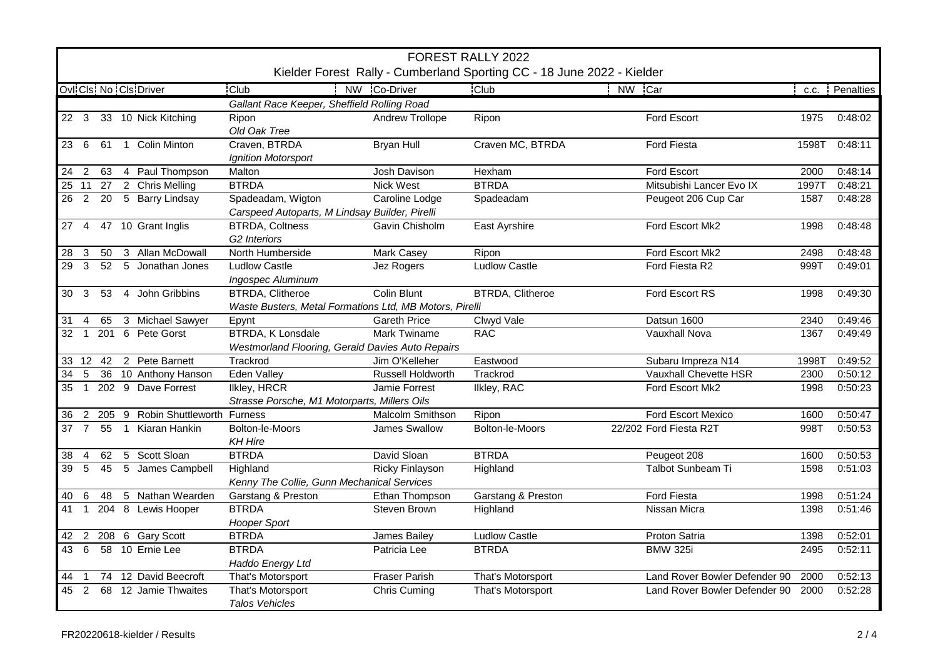|                                             | <b>FOREST RALLY 2022</b><br>Kielder Forest Rally - Cumberland Sporting CC - 18 June 2022 - Kielder |    |                |                          |                                                                                    |                          |                         |                               |       |                |
|---------------------------------------------|----------------------------------------------------------------------------------------------------|----|----------------|--------------------------|------------------------------------------------------------------------------------|--------------------------|-------------------------|-------------------------------|-------|----------------|
|                                             |                                                                                                    |    |                |                          |                                                                                    |                          |                         |                               |       |                |
|                                             |                                                                                                    |    |                | Ovl Cls No Cls Driver    | <b>Club</b>                                                                        | NW Co-Driver             | <b>Club</b>             | NW Car                        |       | c.c. Penalties |
| Gallant Race Keeper, Sheffield Rolling Road |                                                                                                    |    |                |                          |                                                                                    |                          |                         |                               |       |                |
|                                             |                                                                                                    |    |                | 22 3 33 10 Nick Kitching | Ripon<br>Old Oak Tree                                                              | <b>Andrew Trollope</b>   | Ripon                   | Ford Escort                   | 1975  | 0:48:02        |
| 23 6                                        |                                                                                                    | 61 |                | 1 Colin Minton           | Craven, BTRDA<br>Ignition Motorsport                                               | <b>Bryan Hull</b>        | Craven MC, BTRDA        | <b>Ford Fiesta</b>            | 1598T | 0:48:11        |
| 24                                          | 2                                                                                                  | 63 |                | 4 Paul Thompson          | Malton                                                                             | Josh Davison             | Hexham                  | Ford Escort                   | 2000  | 0:48:14        |
| $25$ 11                                     |                                                                                                    |    |                | 27 2 Chris Melling       | <b>BTRDA</b>                                                                       | <b>Nick West</b>         | <b>BTRDA</b>            | Mitsubishi Lancer Evo IX      | 1997T | 0:48:21        |
|                                             |                                                                                                    |    |                | 26 2 20 5 Barry Lindsay  | Spadeadam, Wigton<br>Carspeed Autoparts, M Lindsay Builder, Pirelli                | Caroline Lodge           | Spadeadam               | Peugeot 206 Cup Car           | 1587  | 0:48:28        |
| 27 4                                        |                                                                                                    |    |                | 47 10 Grant Inglis       | <b>BTRDA, Coltness</b><br>G2 Interiors                                             | Gavin Chisholm           | East Ayrshire           | Ford Escort Mk2               | 1998  | 0:48:48        |
| 28                                          | 3                                                                                                  | 50 |                | 3 Allan McDowall         | North Humberside                                                                   | Mark Casey               | Ripon                   | Ford Escort Mk2               | 2498  | 0:48:48        |
| 29                                          | $\mathbf{3}$                                                                                       | 52 |                | 5 Jonathan Jones         | <b>Ludlow Castle</b><br><b>Ingospec Aluminum</b>                                   | Jez Rogers               | <b>Ludlow Castle</b>    | Ford Fiesta R2                | 999T  | 0:49:01        |
| 30                                          | $\mathbf{3}$                                                                                       | 53 |                | 4 John Gribbins          | <b>BTRDA, Clitheroe</b><br>Waste Busters, Metal Formations Ltd, MB Motors, Pirelli | <b>Colin Blunt</b>       | <b>BTRDA, Clitheroe</b> | Ford Escort RS                | 1998  | 0:49:30        |
| 31                                          | $\overline{4}$                                                                                     | 65 |                | 3 Michael Sawyer         | Epynt                                                                              | <b>Gareth Price</b>      | Clwyd Vale              | Datsun 1600                   | 2340  | 0:49:46        |
| 32                                          | $\overline{1}$                                                                                     |    |                | 201 6 Pete Gorst         | <b>BTRDA, K Lonsdale</b><br>Westmorland Flooring, Gerald Davies Auto Repairs       | <b>Mark Twiname</b>      | <b>RAC</b>              | Vauxhall Nova                 | 1367  | 0:49:49        |
|                                             |                                                                                                    |    |                | 33 12 42 2 Pete Barnett  | Trackrod                                                                           | Jim O'Kelleher           | Eastwood                | Subaru Impreza N14            | 1998T | 0:49:52        |
| $\overline{34}$                             | -5                                                                                                 |    |                | 36 10 Anthony Hanson     | <b>Eden Valley</b>                                                                 | <b>Russell Holdworth</b> | Trackrod                | Vauxhall Chevette HSR         | 2300  | 0:50:12        |
| 35                                          | $\overline{1}$                                                                                     |    |                | 202 9 Dave Forrest       | <b>Ilkley, HRCR</b>                                                                | Jamie Forrest            | Ilkley, RAC             | Ford Escort Mk2               | 1998  | 0:50:23        |
|                                             |                                                                                                    |    |                |                          | Strasse Porsche, M1 Motorparts, Millers Oils                                       |                          |                         |                               |       |                |
| 36                                          | $\overline{2}$                                                                                     |    |                | 205 9 Robin Shuttleworth | <b>Furness</b>                                                                     | Malcolm Smithson         | Ripon                   | Ford Escort Mexico            | 1600  | 0:50:47        |
| 37                                          | $\overline{7}$                                                                                     | 55 | $\overline{1}$ | Kiaran Hankin            | Bolton-le-Moors<br><b>KH Hire</b>                                                  | James Swallow            | Bolton-le-Moors         | 22/202 Ford Fiesta R2T        | 998T  | 0:50:53        |
| 38                                          | $\overline{4}$                                                                                     | 62 |                | 5 Scott Sloan            | <b>BTRDA</b>                                                                       | David Sloan              | <b>BTRDA</b>            | Peugeot 208                   | 1600  | 0:50:53        |
| 39                                          | $5\overline{)}$                                                                                    | 45 |                | 5 James Campbell         | Highland                                                                           | <b>Ricky Finlayson</b>   | Highland                | Talbot Sunbeam Ti             | 1598  | 0:51:03        |
|                                             |                                                                                                    |    |                |                          | Kenny The Collie, Gunn Mechanical Services                                         |                          |                         |                               |       |                |
| 40                                          | 6                                                                                                  | 48 |                | 5 Nathan Wearden         | Garstang & Preston                                                                 | Ethan Thompson           | Garstang & Preston      | <b>Ford Fiesta</b>            | 1998  | 0:51:24        |
| 41 1                                        |                                                                                                    |    |                | 204 8 Lewis Hooper       | <b>BTRDA</b>                                                                       | Steven Brown             | Highland                | Nissan Micra                  | 1398  | 0:51:46        |
|                                             |                                                                                                    |    |                |                          | <b>Hooper Sport</b>                                                                |                          |                         |                               |       |                |
| 42                                          | 2                                                                                                  |    |                | 208 6 Gary Scott         | <b>BTRDA</b>                                                                       | James Bailey             | <b>Ludlow Castle</b>    | Proton Satria                 | 1398  | 0:52:01        |
| 43                                          | 6                                                                                                  |    |                | 58 10 Ernie Lee          | <b>BTRDA</b><br>Haddo Energy Ltd                                                   | Patricia Lee             | <b>BTRDA</b>            | <b>BMW 325i</b>               | 2495  | 0:52:11        |
| 44                                          |                                                                                                    |    |                | 74 12 David Beecroft     | That's Motorsport                                                                  | <b>Fraser Parish</b>     | That's Motorsport       | Land Rover Bowler Defender 90 | 2000  | 0:52:13        |
| 45                                          | 2                                                                                                  |    |                | 68 12 Jamie Thwaites     | That's Motorsport<br><b>Talos Vehicles</b>                                         | <b>Chris Cuming</b>      | That's Motorsport       | Land Rover Bowler Defender 90 | 2000  | 0:52:28        |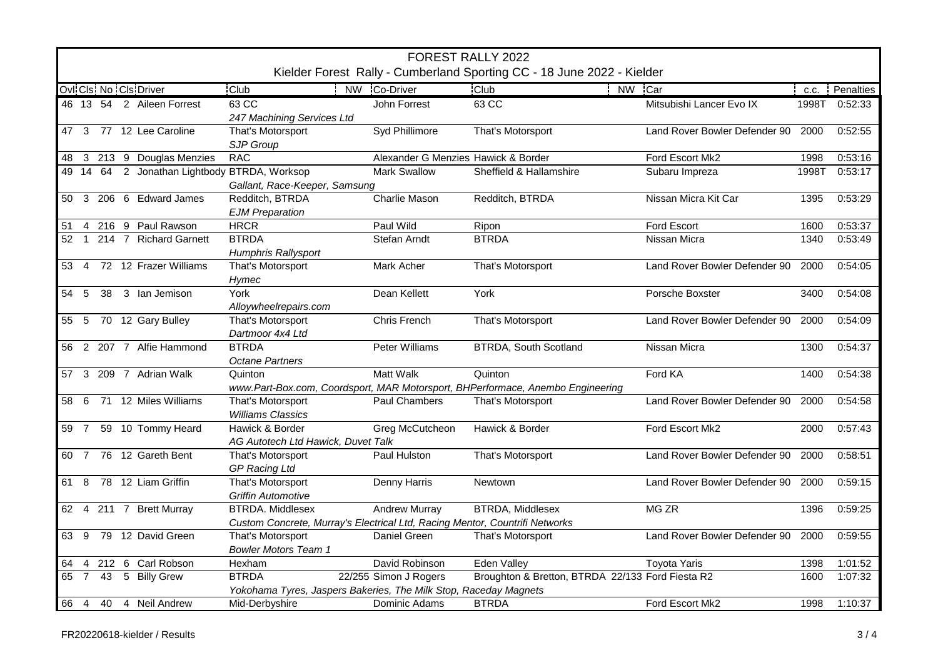|      | FOREST RALLY 2022<br>Kielder Forest Rally - Cumberland Sporting CC - 18 June 2022 - Kielder |  |                                              |                                                                                  |                                     |                                                                                |                               |       |           |  |  |
|------|---------------------------------------------------------------------------------------------|--|----------------------------------------------|----------------------------------------------------------------------------------|-------------------------------------|--------------------------------------------------------------------------------|-------------------------------|-------|-----------|--|--|
|      |                                                                                             |  | Ovi Cis No Cis Driver                        | <b>Club</b>                                                                      | NW Co-Driver                        | <b>Club</b><br>NW Car                                                          |                               | C.C.  | Penalties |  |  |
|      |                                                                                             |  | 46 13 54 2 Aileen Forrest                    | $63 \, \text{CC}$<br>247 Machining Services Ltd                                  | John Forrest                        | 63 CC                                                                          | Mitsubishi Lancer Evo IX      | 1998T | 0:52:33   |  |  |
|      |                                                                                             |  | 47 3 77 12 Lee Caroline                      | That's Motorsport<br>SJP Group                                                   | Syd Phillimore                      | That's Motorsport                                                              | Land Rover Bowler Defender 90 | 2000  | 0:52:55   |  |  |
| 48   |                                                                                             |  | 3 213 9 Douglas Menzies                      | <b>RAC</b>                                                                       | Alexander G Menzies Hawick & Border |                                                                                | Ford Escort Mk2               | 1998  | 0:53:16   |  |  |
|      |                                                                                             |  | 49 14 64 2 Jonathan Lightbody BTRDA, Worksop |                                                                                  | <b>Mark Swallow</b>                 | Sheffield & Hallamshire                                                        | Subaru Impreza                | 1998T | 0:53:17   |  |  |
|      |                                                                                             |  |                                              | Gallant, Race-Keeper, Samsung                                                    |                                     |                                                                                |                               |       |           |  |  |
|      |                                                                                             |  | 50 3 206 6 Edward James                      | Redditch, BTRDA<br><b>EJM Preparation</b>                                        | <b>Charlie Mason</b>                | Redditch, BTRDA                                                                | Nissan Micra Kit Car          | 1395  | 0:53:29   |  |  |
| 51   |                                                                                             |  | 4 216 9 Paul Rawson                          | <b>HRCR</b>                                                                      | Paul Wild                           | Ripon                                                                          | Ford Escort                   | 1600  | 0:53:37   |  |  |
| 52   | $\overline{1}$                                                                              |  | 214 7 Richard Garnett                        | <b>BTRDA</b><br>Humphris Rallysport                                              | Stefan Arndt                        | <b>BTRDA</b>                                                                   | Nissan Micra                  | 1340  | 0:53:49   |  |  |
| 53 4 |                                                                                             |  | 72 12 Frazer Williams                        | That's Motorsport<br>Hymec                                                       | Mark Acher                          | That's Motorsport                                                              | Land Rover Bowler Defender 90 | 2000  | 0:54:05   |  |  |
| 54 5 |                                                                                             |  | 38 3 Ian Jemison                             | York<br>Alloywheelrepairs.com                                                    | Dean Kellett                        | York                                                                           | Porsche Boxster               | 3400  | 0:54:08   |  |  |
|      |                                                                                             |  | 55 5 70 12 Gary Bulley                       | That's Motorsport<br>Dartmoor 4x4 Ltd                                            | Chris French                        | That's Motorsport                                                              | Land Rover Bowler Defender 90 | 2000  | 0:54:09   |  |  |
|      |                                                                                             |  | 56 2 207 7 Alfie Hammond                     | <b>BTRDA</b><br><b>Octane Partners</b>                                           | Peter Williams                      | <b>BTRDA, South Scotland</b>                                                   | Nissan Micra                  | 1300  | 0:54:37   |  |  |
|      |                                                                                             |  | 57 3 209 7 Adrian Walk                       | Quinton                                                                          | <b>Matt Walk</b>                    | Quinton                                                                        | Ford KA                       | 1400  | 0:54:38   |  |  |
|      |                                                                                             |  |                                              |                                                                                  |                                     | www.Part-Box.com, Coordsport, MAR Motorsport, BHPerformace, Anembo Engineering |                               |       |           |  |  |
| 58   | - 6                                                                                         |  | 71 12 Miles Williams                         | That's Motorsport<br><b>Williams Classics</b>                                    | Paul Chambers                       | That's Motorsport                                                              | Land Rover Bowler Defender 90 | 2000  | 0:54:58   |  |  |
|      | 59 7                                                                                        |  | 59 10 Tommy Heard                            | Hawick & Border<br>AG Autotech Ltd Hawick, Duvet Talk                            | Greg McCutcheon                     | Hawick & Border                                                                | Ford Escort Mk2               | 2000  | 0:57:43   |  |  |
|      | 60 7                                                                                        |  | 76 12 Gareth Bent                            | That's Motorsport<br><b>GP Racing Ltd</b>                                        | Paul Hulston                        | That's Motorsport                                                              | Land Rover Bowler Defender 90 | 2000  | 0:58:51   |  |  |
|      |                                                                                             |  | 61 8 78 12 Liam Griffin                      | That's Motorsport<br><b>Griffin Automotive</b>                                   | Denny Harris                        | Newtown                                                                        | Land Rover Bowler Defender 90 | 2000  | 0:59:15   |  |  |
|      |                                                                                             |  | 62 4 211 7 Brett Murray                      | <b>BTRDA.</b> Middlesex                                                          | <b>Andrew Murray</b>                | <b>BTRDA, Middlesex</b>                                                        | MG ZR                         | 1396  | 0:59:25   |  |  |
|      |                                                                                             |  |                                              | Custom Concrete, Murray's Electrical Ltd, Racing Mentor, Countrifi Networks      |                                     |                                                                                |                               |       |           |  |  |
| 63 9 |                                                                                             |  | 79 12 David Green                            | That's Motorsport                                                                | Daniel Green                        | That's Motorsport                                                              | Land Rover Bowler Defender 90 | 2000  | 0:59:55   |  |  |
|      |                                                                                             |  |                                              | <b>Bowler Motors Team 1</b>                                                      |                                     |                                                                                |                               |       |           |  |  |
| 64   |                                                                                             |  | 4 212 6 Carl Robson                          | Hexham                                                                           | David Robinson                      | <b>Eden Valley</b>                                                             | <b>Toyota Yaris</b>           | 1398  | 1:01:52   |  |  |
|      | 65 7                                                                                        |  | 43 5 Billy Grew                              | <b>BTRDA</b><br>Yokohama Tyres, Jaspers Bakeries, The Milk Stop, Raceday Magnets | 22/255 Simon J Rogers               | Broughton & Bretton, BTRDA 22/133 Ford Fiesta R2                               |                               | 1600  | 1:07:32   |  |  |
| 66 4 |                                                                                             |  | 40 4 Neil Andrew                             | Mid-Derbyshire                                                                   | Dominic Adams                       | <b>BTRDA</b>                                                                   | Ford Escort Mk2               | 1998  | 1:10:37   |  |  |
|      |                                                                                             |  |                                              |                                                                                  |                                     |                                                                                |                               |       |           |  |  |